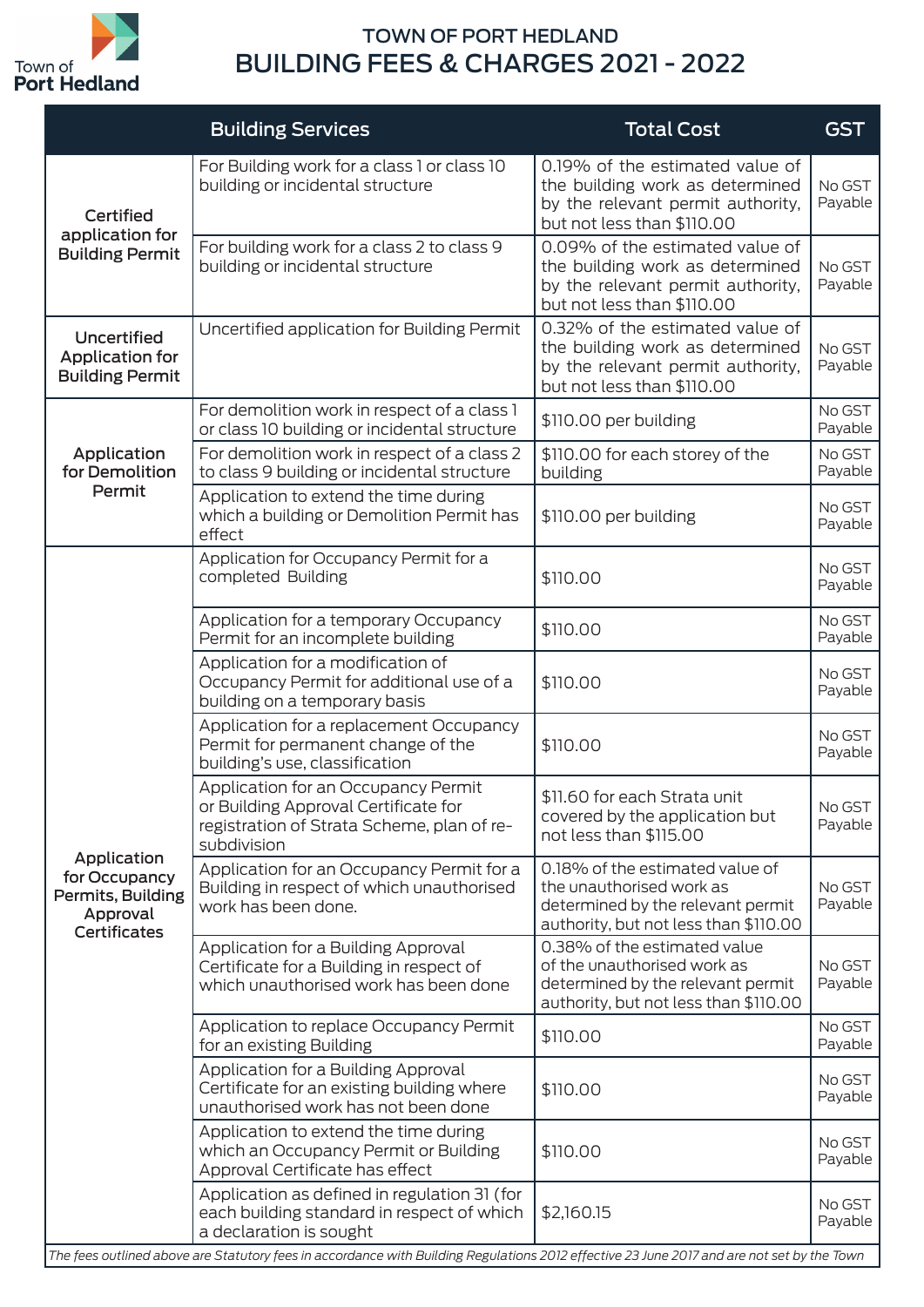

## TOWN OF PORT HEDLAND BUILDING FEES & CHARGES 2021 - 2022

|                                                                                      | <b>Building Services</b>                                                                                                                 | <b>Total Cost</b>                                                                                                                         | <b>GST</b>        |
|--------------------------------------------------------------------------------------|------------------------------------------------------------------------------------------------------------------------------------------|-------------------------------------------------------------------------------------------------------------------------------------------|-------------------|
| <b>Certified</b><br>application for<br><b>Building Permit</b>                        | For Building work for a class 1 or class 10<br>building or incidental structure                                                          | 0.19% of the estimated value of<br>the building work as determined<br>by the relevant permit authority,<br>but not less than \$110.00     | No GST<br>Payable |
|                                                                                      | For building work for a class 2 to class 9<br>building or incidental structure                                                           | 0.09% of the estimated value of<br>the building work as determined<br>by the relevant permit authority,<br>but not less than \$110.00     | No GST<br>Payable |
| Uncertified<br><b>Application for</b><br><b>Building Permit</b>                      | Uncertified application for Building Permit                                                                                              | 0.32% of the estimated value of<br>the building work as determined<br>by the relevant permit authority,<br>but not less than \$110.00     | No GST<br>Payable |
|                                                                                      | For demolition work in respect of a class 1<br>or class 10 building or incidental structure                                              | \$110.00 per building                                                                                                                     | No GST<br>Payable |
| Application<br>for Demolition                                                        | For demolition work in respect of a class 2<br>to class 9 building or incidental structure                                               | \$110.00 for each storey of the<br>building                                                                                               | No GST<br>Payable |
| Permit                                                                               | Application to extend the time during<br>which a building or Demolition Permit has<br>effect                                             | \$110.00 per building                                                                                                                     | No GST<br>Payable |
|                                                                                      | Application for Occupancy Permit for a<br>completed Building                                                                             | \$110.00                                                                                                                                  | No GST<br>Payable |
|                                                                                      | Application for a temporary Occupancy<br>Permit for an incomplete building                                                               | \$110.00                                                                                                                                  | No GST<br>Payable |
| Application<br>for Occupancy<br>Permits, Building<br>Approval<br><b>Certificates</b> | Application for a modification of<br>Occupancy Permit for additional use of a<br>building on a temporary basis                           | \$110.00                                                                                                                                  | No GST<br>Payable |
|                                                                                      | Application for a replacement Occupancy<br>Permit for permanent change of the<br>building's use, classification                          | \$110.00                                                                                                                                  | No GST<br>Payable |
|                                                                                      | Application for an Occupancy Permit<br>or Building Approval Certificate for<br>registration of Strata Scheme, plan of re-<br>subdivision | \$11.60 for each Strata unit<br>covered by the application but<br>not less than \$115.00                                                  | No GST<br>Payable |
|                                                                                      | Application for an Occupancy Permit for a<br>Building in respect of which unauthorised<br>work has been done.                            | 0.18% of the estimated value of<br>the unauthorised work as<br>determined by the relevant permit<br>authority, but not less than \$110.00 | No GST<br>Payable |
|                                                                                      | Application for a Building Approval<br>Certificate for a Building in respect of<br>which unauthorised work has been done                 | 0.38% of the estimated value<br>of the unauthorised work as<br>determined by the relevant permit<br>authority, but not less than \$110.00 | No GST<br>Payable |
|                                                                                      | Application to replace Occupancy Permit<br>for an existing Building                                                                      | \$110.00                                                                                                                                  | No GST<br>Payable |
|                                                                                      | Application for a Building Approval<br>Certificate for an existing building where<br>unauthorised work has not been done                 | \$110.00                                                                                                                                  | No GST<br>Payable |
|                                                                                      | Application to extend the time during<br>which an Occupancy Permit or Building<br>Approval Certificate has effect                        | \$110.00                                                                                                                                  | No GST<br>Payable |
|                                                                                      | Application as defined in regulation 31 (for<br>each building standard in respect of which<br>a declaration is sought                    | \$2,160.15                                                                                                                                | No GST<br>Payable |

*The fees outlined above are Statutory fees in accordance with Building Regulations 2012 effective 23 June 2017 and are not set by the Town*